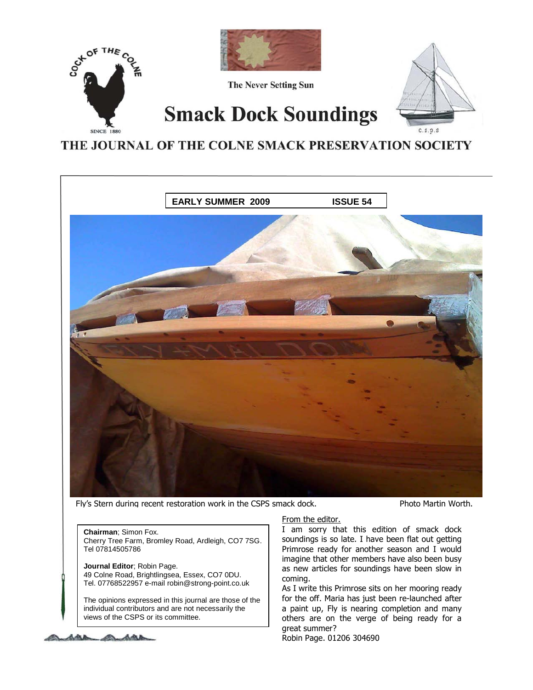

THE JOURNAL OF THE COLNE SMACK PRESERVATION SOCIETY



Fly's Stern during recent restoration work in the CSPS smack dock. Photo Martin Worth.

**Chairman**; Simon Fox. Cherry Tree Farm, Bromley Road, Ardleigh, CO7 7SG. Tel 07814505786

**Journal Editor**; Robin Page. 49 Colne Road, Brightlingsea, Essex, CO7 0DU. Tel. 07768522957 e-mail robin@strong-point.co.uk

The opinions expressed in this journal are those of the individual contributors and are not necessarily the views of the CSPS or its committee.



### From the editor.

I am sorry that this edition of smack dock soundings is so late. I have been flat out getting Primrose ready for another season and I would imagine that other members have also been busy as new articles for soundings have been slow in coming.

As I write this Primrose sits on her mooring ready for the off. Maria has just been re-launched after a paint up, Fly is nearing completion and many others are on the verge of being ready for a great summer?

Robin Page. 01206 304690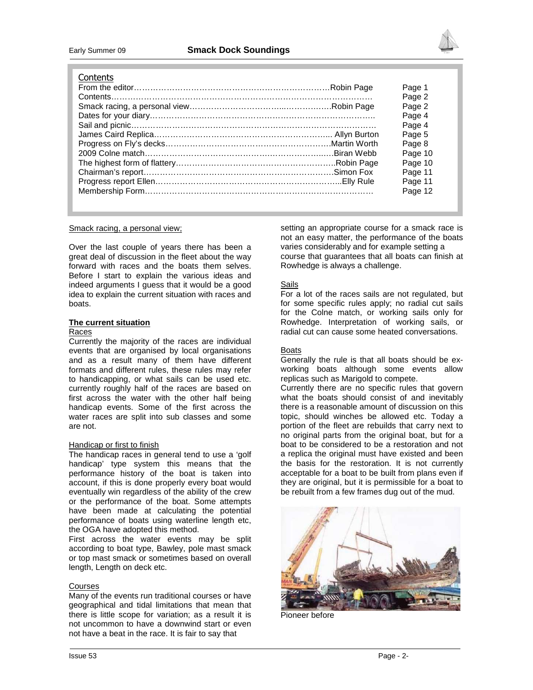

#### **Contents**

| טוונטונט |         |
|----------|---------|
|          | Page 1  |
|          | Page 2  |
|          | Page 2  |
|          | Page 4  |
|          | Page 4  |
|          | Page 5  |
|          | Page 8  |
|          | Page 10 |
|          | Page 10 |
|          | Page 11 |
|          | Page 11 |
|          | Page 12 |
|          |         |

#### Smack racing, a personal view;

Over the last couple of years there has been a great deal of discussion in the fleet about the way forward with races and the boats them selves. Before I start to explain the various ideas and indeed arguments I guess that it would be a good idea to explain the current situation with races and boats.

#### **The current situation**

#### Races

Currently the majority of the races are individual events that are organised by local organisations and as a result many of them have different formats and different rules, these rules may refer to handicapping, or what sails can be used etc. currently roughly half of the races are based on first across the water with the other half being handicap events. Some of the first across the water races are split into sub classes and some are not.

#### Handicap or first to finish

The handicap races in general tend to use a 'golf handicap' type system this means that the performance history of the boat is taken into account, if this is done properly every boat would eventually win regardless of the ability of the crew or the performance of the boat. Some attempts have been made at calculating the potential performance of boats using waterline length etc, the OGA have adopted this method.

First across the water events may be split according to boat type, Bawley, pole mast smack or top mast smack or sometimes based on overall length, Length on deck etc.

#### Courses

Many of the events run traditional courses or have geographical and tidal limitations that mean that there is little scope for variation; as a result it is not uncommon to have a downwind start or even not have a beat in the race. It is fair to say that

setting an appropriate course for a smack race is not an easy matter, the performance of the boats varies considerably and for example setting a course that guarantees that all boats can finish at Rowhedge is always a challenge.

#### Sails

For a lot of the races sails are not regulated, but for some specific rules apply; no radial cut sails for the Colne match, or working sails only for Rowhedge. Interpretation of working sails, or radial cut can cause some heated conversations.

#### **Boats**

Generally the rule is that all boats should be exworking boats although some events allow replicas such as Marigold to compete.

Currently there are no specific rules that govern what the boats should consist of and inevitably there is a reasonable amount of discussion on this topic, should winches be allowed etc. Today a portion of the fleet are rebuilds that carry next to no original parts from the original boat, but for a boat to be considered to be a restoration and not a replica the original must have existed and been the basis for the restoration. It is not currently acceptable for a boat to be built from plans even if they are original, but it is permissible for a boat to be rebuilt from a few frames dug out of the mud.



Pioneer before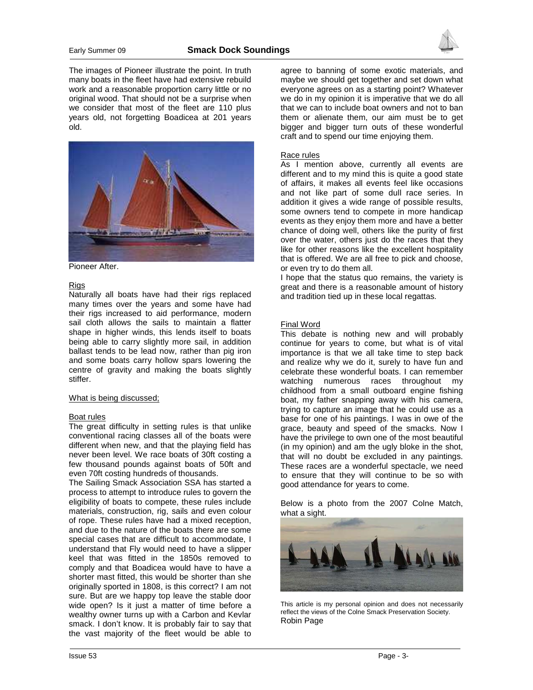

The images of Pioneer illustrate the point. In truth many boats in the fleet have had extensive rebuild work and a reasonable proportion carry little or no original wood. That should not be a surprise when we consider that most of the fleet are 110 plus years old, not forgetting Boadicea at 201 years old.



Pioneer After.

#### **Rigs**

Naturally all boats have had their rigs replaced many times over the years and some have had their rigs increased to aid performance, modern sail cloth allows the sails to maintain a flatter shape in higher winds, this lends itself to boats being able to carry slightly more sail, in addition ballast tends to be lead now, rather than pig iron and some boats carry hollow spars lowering the centre of gravity and making the boats slightly stiffer.

#### What is being discussed;

#### Boat rules

The great difficulty in setting rules is that unlike conventional racing classes all of the boats were different when new, and that the playing field has never been level. We race boats of 30ft costing a few thousand pounds against boats of 50ft and even 70ft costing hundreds of thousands.

The Sailing Smack Association SSA has started a process to attempt to introduce rules to govern the eligibility of boats to compete, these rules include materials, construction, rig, sails and even colour of rope. These rules have had a mixed reception, and due to the nature of the boats there are some special cases that are difficult to accommodate, I understand that Fly would need to have a slipper keel that was fitted in the 1850s removed to comply and that Boadicea would have to have a shorter mast fitted, this would be shorter than she originally sported in 1808, is this correct? I am not sure. But are we happy top leave the stable door wide open? Is it just a matter of time before a wealthy owner turns up with a Carbon and Kevlar smack. I don't know. It is probably fair to say that the vast majority of the fleet would be able to

agree to banning of some exotic materials, and maybe we should get together and set down what everyone agrees on as a starting point? Whatever we do in my opinion it is imperative that we do all that we can to include boat owners and not to ban them or alienate them, our aim must be to get bigger and bigger turn outs of these wonderful craft and to spend our time enjoying them.

#### Race rules

As I mention above, currently all events are different and to my mind this is quite a good state of affairs, it makes all events feel like occasions and not like part of some dull race series. In addition it gives a wide range of possible results, some owners tend to compete in more handicap events as they enjoy them more and have a better chance of doing well, others like the purity of first over the water, others just do the races that they like for other reasons like the excellent hospitality that is offered. We are all free to pick and choose, or even try to do them all.

I hope that the status quo remains, the variety is great and there is a reasonable amount of history and tradition tied up in these local regattas.

#### Final Word

This debate is nothing new and will probably continue for years to come, but what is of vital importance is that we all take time to step back and realize why we do it, surely to have fun and celebrate these wonderful boats. I can remember watching numerous races throughout my childhood from a small outboard engine fishing boat, my father snapping away with his camera, trying to capture an image that he could use as a base for one of his paintings. I was in owe of the grace, beauty and speed of the smacks. Now I have the privilege to own one of the most beautiful (in my opinion) and am the ugly bloke in the shot, that will no doubt be excluded in any paintings. These races are a wonderful spectacle, we need to ensure that they will continue to be so with good attendance for years to come.

Below is a photo from the 2007 Colne Match, what a sight.



This article is my personal opinion and does not necessarily reflect the views of the Colne Smack Preservation Society. Robin Page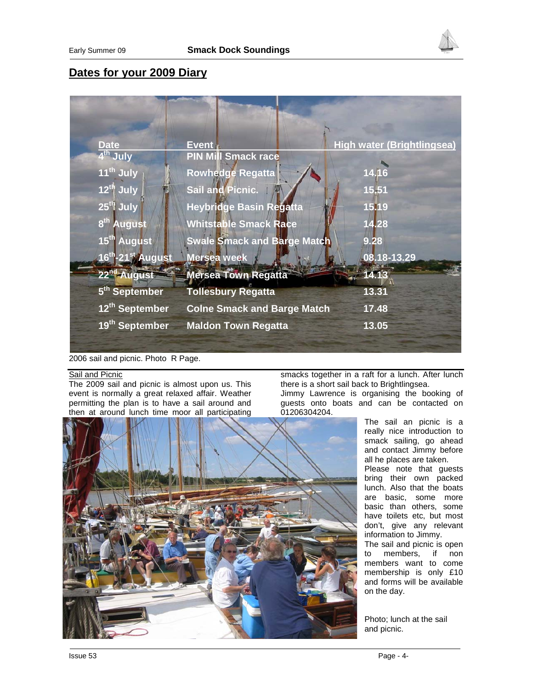

# **Dates for your 2009 Diary**

| <b>Date</b>                               | <b>Event</b>                       | <b>High water (Brightlingsea)</b> |
|-------------------------------------------|------------------------------------|-----------------------------------|
| 4 <sup>th</sup> July                      | <b>PIN Mill Smack race</b>         |                                   |
| 11 <sup>th</sup> July                     | <b>Rowhedge Regatta</b>            | 14.16                             |
| $12^{th}$ July                            | Sail and Picnic.                   | 15.51                             |
| 25 <sup>th</sup> July                     | <b>Heybridge Basin Regatta</b>     | 15.19                             |
| 8 <sup>th</sup><br><b>August</b>          | <b>Whitstable Smack Race</b>       | 14.28                             |
| 15 <sup>th</sup> August                   | <b>Swale Smack and Barge Match</b> | 9.28                              |
| 16 <sup>th</sup> -21 <sup>st</sup> August | Mersea week                        | 08.18-13.29                       |
| 22 <sup>nd</sup> August                   | <b>Mersea Town Regatta</b>         | 14.13                             |
| 5 <sup>th</sup> September                 | <b>Tollesbury Regatta</b>          | 13.31                             |
| 12th September                            | <b>Colne Smack and Barge Match</b> | 17.48                             |
| 19 <sup>th</sup> September                | <b>Maldon Town Regatta</b>         | 13.05                             |
|                                           |                                    |                                   |

2006 sail and picnic. Photo R Page.

#### Sail and Picnic

The 2009 sail and picnic is almost upon us. This event is normally a great relaxed affair. Weather permitting the plan is to have a sail around and then at around lunch time moor all participating

smacks together in a raft for a lunch. After lunch there is a short sail back to Brightlingsea.

Jimmy Lawrence is organising the booking of guests onto boats and can be contacted on 01206304204.

The sail an picnic is a really nice introduction to smack sailing, go ahead and contact Jimmy before all he places are taken. Please note that guests bring their own packed lunch. Also that the boats are basic, some more basic than others, some have toilets etc, but most don't, give any relevant information to Jimmy. The sail and picnic is open to members, if non members want to come membership is only £10 and forms will be available on the day.

Photo; lunch at the sail and picnic.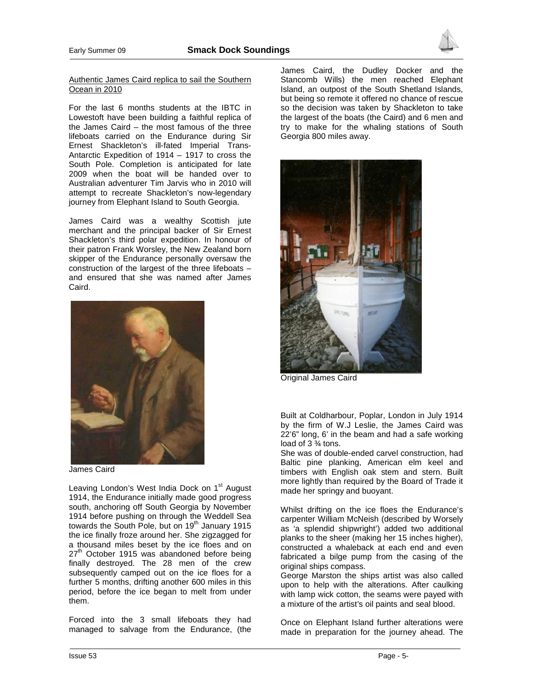

#### Authentic James Caird replica to sail the Southern Ocean in 2010

For the last 6 months students at the IBTC in Lowestoft have been building a faithful replica of the James Caird – the most famous of the three lifeboats carried on the Endurance during Sir Ernest Shackleton's ill-fated Imperial Trans-Antarctic Expedition of 1914 – 1917 to cross the South Pole. Completion is anticipated for late 2009 when the boat will be handed over to Australian adventurer Tim Jarvis who in 2010 will attempt to recreate Shackleton's now-legendary journey from Elephant Island to South Georgia.

James Caird was a wealthy Scottish jute merchant and the principal backer of Sir Ernest Shackleton's third polar expedition. In honour of their patron Frank Worsley, the New Zealand born skipper of the Endurance personally oversaw the construction of the largest of the three lifeboats – and ensured that she was named after James Caird.



James Caird

Leaving London's West India Dock on 1<sup>st</sup> August 1914, the Endurance initially made good progress south, anchoring off South Georgia by November 1914 before pushing on through the Weddell Sea towards the South Pole, but on 19<sup>th</sup> January 1915 the ice finally froze around her. She zigzagged for a thousand miles beset by the ice floes and on  $27<sup>th</sup>$  October 1915 was abandoned before being finally destroyed. The 28 men of the crew subsequently camped out on the ice floes for a further 5 months, drifting another 600 miles in this period, before the ice began to melt from under them.

Forced into the 3 small lifeboats they had managed to salvage from the Endurance, (the James Caird, the Dudley Docker and the Stancomb Wills) the men reached Elephant Island, an outpost of the South Shetland Islands, but being so remote it offered no chance of rescue so the decision was taken by Shackleton to take the largest of the boats (the Caird) and 6 men and try to make for the whaling stations of South Georgia 800 miles away.



Original James Caird

Built at Coldharbour, Poplar, London in July 1914 by the firm of W.J Leslie, the James Caird was 22'6" long, 6' in the beam and had a safe working load of 3 ¾ tons.

She was of double-ended carvel construction, had Baltic pine planking, American elm keel and timbers with English oak stem and stern. Built more lightly than required by the Board of Trade it made her springy and buoyant.

Whilst drifting on the ice floes the Endurance's carpenter William McNeish (described by Worsely as 'a splendid shipwright') added two additional planks to the sheer (making her 15 inches higher), constructed a whaleback at each end and even fabricated a bilge pump from the casing of the original ships compass.

George Marston the ships artist was also called upon to help with the alterations. After caulking with lamp wick cotton, the seams were payed with a mixture of the artist's oil paints and seal blood.

Once on Elephant Island further alterations were made in preparation for the journey ahead. The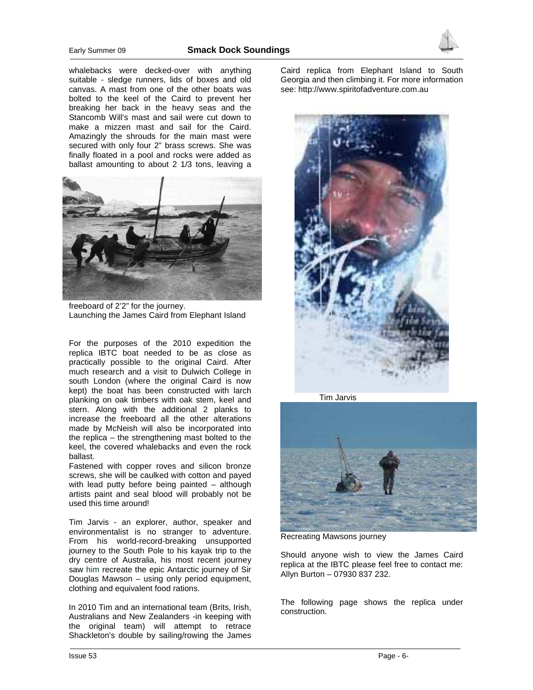

whalebacks were decked-over with anything suitable - sledge runners, lids of boxes and old canvas. A mast from one of the other boats was bolted to the keel of the Caird to prevent her breaking her back in the heavy seas and the Stancomb Will's mast and sail were cut down to make a mizzen mast and sail for the Caird. Amazingly the shrouds for the main mast were secured with only four 2" brass screws. She was finally floated in a pool and rocks were added as ballast amounting to about 2 1/3 tons, leaving a



freeboard of 2'2" for the journey. Launching the James Caird from Elephant Island

For the purposes of the 2010 expedition the replica IBTC boat needed to be as close as practically possible to the original Caird. After much research and a visit to Dulwich College in south London (where the original Caird is now kept) the boat has been constructed with larch planking on oak timbers with oak stem, keel and stern. Along with the additional 2 planks to increase the freeboard all the other alterations made by McNeish will also be incorporated into the replica – the strengthening mast bolted to the keel, the covered whalebacks and even the rock ballast.

Fastened with copper roves and silicon bronze screws, she will be caulked with cotton and payed with lead putty before being painted – although artists paint and seal blood will probably not be used this time around!

Tim Jarvis - an explorer, author, speaker and environmentalist is no stranger to adventure. From his world-record-breaking unsupported journey to the South Pole to his kayak trip to the dry centre of Australia, his most recent journey saw him recreate the epic Antarctic journey of Sir Douglas Mawson – using only period equipment, clothing and equivalent food rations.

In 2010 Tim and an international team (Brits, Irish, Australians and New Zealanders -in keeping with the original team) will attempt to retrace Shackleton's double by sailing/rowing the James

Caird replica from Elephant Island to South Georgia and then climbing it. For more information see: http://www.spiritofadventure.com.au







Recreating Mawsons journey

Should anyone wish to view the James Caird replica at the IBTC please feel free to contact me: Allyn Burton – 07930 837 232.

The following page shows the replica under construction.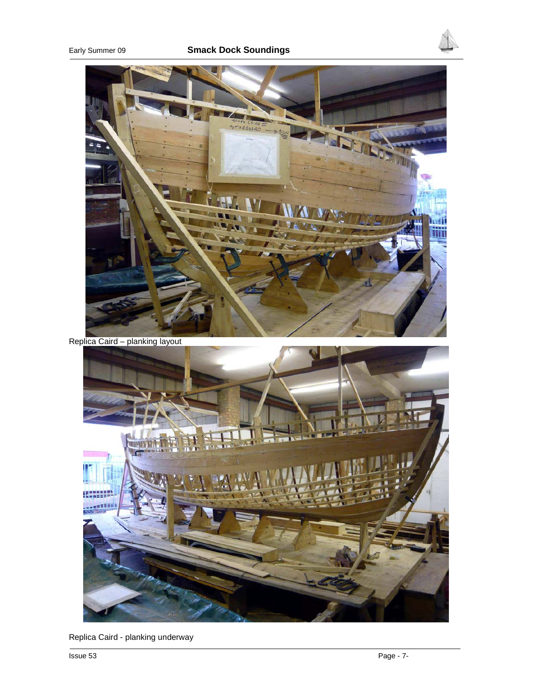

Replica Caird - planking underway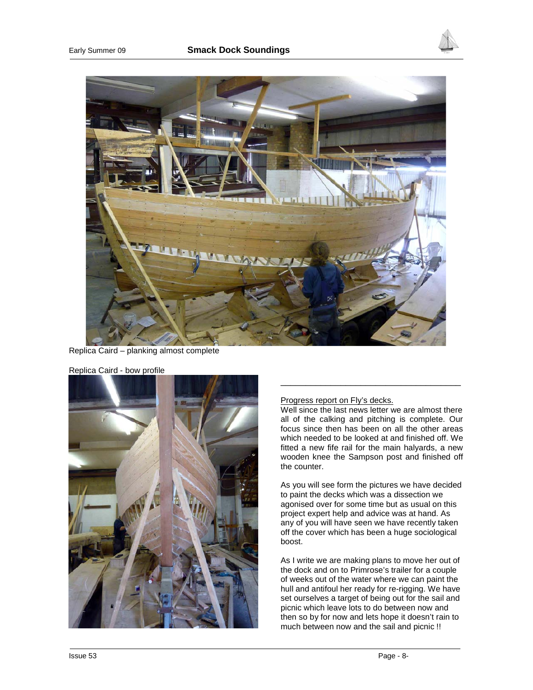



Replica Caird – planking almost complete



Replica Caird - bow profile

#### Progress report on Fly's decks.

Well since the last news letter we are almost there all of the calking and pitching is complete. Our focus since then has been on all the other areas which needed to be looked at and finished off. We fitted a new fife rail for the main halyards, a new wooden knee the Sampson post and finished off the counter.

\_\_\_\_\_\_\_\_\_\_\_\_\_\_\_\_\_\_\_\_\_\_\_\_\_\_\_\_\_\_\_\_\_\_\_\_

As you will see form the pictures we have decided to paint the decks which was a dissection we agonised over for some time but as usual on this project expert help and advice was at hand. As any of you will have seen we have recently taken off the cover which has been a huge sociological boost.

As I write we are making plans to move her out of the dock and on to Primrose's trailer for a couple of weeks out of the water where we can paint the hull and antifoul her ready for re-rigging. We have set ourselves a target of being out for the sail and picnic which leave lots to do between now and then so by for now and lets hope it doesn't rain to much between now and the sail and picnic !!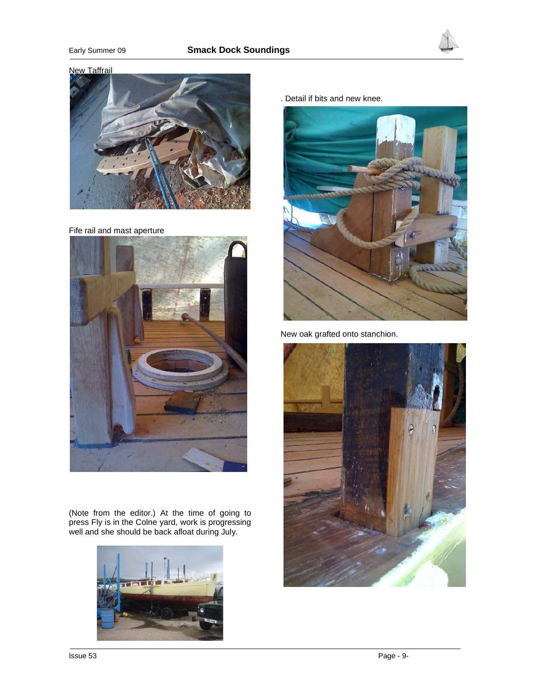## Early Summer 09 **Smack Dock Soundings**





#### New Taffrail



Fife rail and mast aperture



(Note from the editor.) At the time of going to press Fly is in the Colne yard, work is progressing well and she should be back afloat during July.



. Detail if bits and new knee.



New oak grafted onto stanchion.

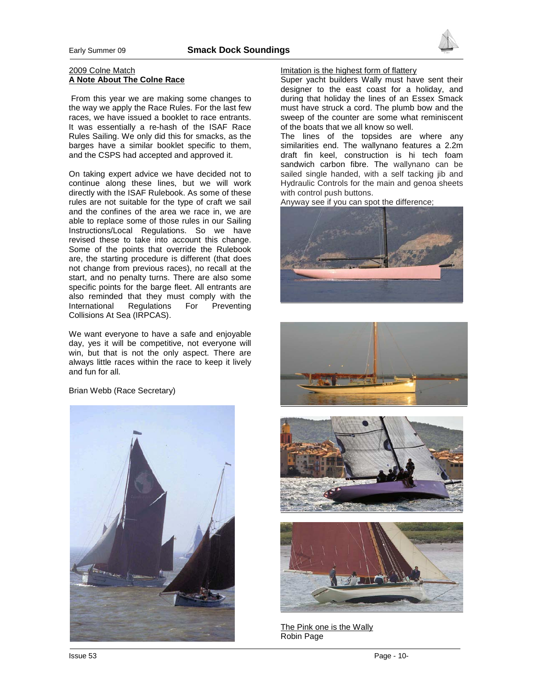

 From this year we are making some changes to the way we apply the Race Rules. For the last few races, we have issued a booklet to race entrants. It was essentially a re-hash of the ISAF Race Rules Sailing. We only did this for smacks, as the barges have a similar booklet specific to them, and the CSPS had accepted and approved it.

On taking expert advice we have decided not to continue along these lines, but we will work directly with the ISAF Rulebook. As some of these rules are not suitable for the type of craft we sail and the confines of the area we race in, we are able to replace some of those rules in our Sailing Instructions/Local Regulations. So we have revised these to take into account this change. Some of the points that override the Rulebook are, the starting procedure is different (that does not change from previous races), no recall at the start, and no penalty turns. There are also some specific points for the barge fleet. All entrants are also reminded that they must comply with the International Regulations For Preventing Collisions At Sea (IRPCAS).

We want everyone to have a safe and enjoyable day, yes it will be competitive, not everyone will win, but that is not the only aspect. There are always little races within the race to keep it lively and fun for all.

Brian Webb (Race Secretary)



#### Imitation is the highest form of flattery

Super yacht builders Wally must have sent their designer to the east coast for a holiday, and during that holiday the lines of an Essex Smack must have struck a cord. The plumb bow and the sweep of the counter are some what reminiscent of the boats that we all know so well.

The lines of the topsides are where any similarities end. The wallynano features a 2.2m draft fin keel, construction is hi tech foam sandwich carbon fibre. The wallynano can be sailed single handed, with a self tacking jib and Hydraulic Controls for the main and genoa sheets with control push buttons.

Anyway see if you can spot the difference;









The Pink one is the Wally Robin Page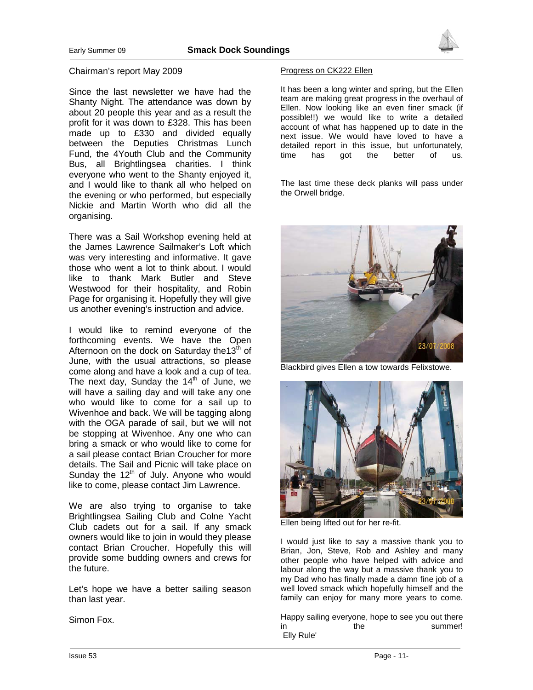

#### Chairman's report May 2009

Since the last newsletter we have had the Shanty Night. The attendance was down by about 20 people this year and as a result the profit for it was down to £328. This has been made up to £330 and divided equally between the Deputies Christmas Lunch Fund, the 4Youth Club and the Community Bus, all Brightlingsea charities. I think everyone who went to the Shanty enjoyed it, and I would like to thank all who helped on the evening or who performed, but especially Nickie and Martin Worth who did all the organising.

There was a Sail Workshop evening held at the James Lawrence Sailmaker's Loft which was very interesting and informative. It gave those who went a lot to think about. I would like to thank Mark Butler and Steve Westwood for their hospitality, and Robin Page for organising it. Hopefully they will give us another evening's instruction and advice.

I would like to remind everyone of the forthcoming events. We have the Open Afternoon on the dock on Saturday the  $13<sup>th</sup>$  of June, with the usual attractions, so please come along and have a look and a cup of tea. The next day, Sunday the  $14<sup>th</sup>$  of June, we will have a sailing day and will take any one who would like to come for a sail up to Wivenhoe and back. We will be tagging along with the OGA parade of sail, but we will not be stopping at Wivenhoe. Any one who can bring a smack or who would like to come for a sail please contact Brian Croucher for more details. The Sail and Picnic will take place on Sunday the  $12<sup>th</sup>$  of July. Anyone who would like to come, please contact Jim Lawrence.

We are also trying to organise to take Brightlingsea Sailing Club and Colne Yacht Club cadets out for a sail. If any smack owners would like to join in would they please contact Brian Croucher. Hopefully this will provide some budding owners and crews for the future.

Let's hope we have a better sailing season than last year.

Simon Fox.

#### Progress on CK222 Ellen

It has been a long winter and spring, but the Ellen team are making great progress in the overhaul of Ellen. Now looking like an even finer smack (if possible!!) we would like to write a detailed account of what has happened up to date in the next issue. We would have loved to have a detailed report in this issue, but unfortunately, time has got the better of us.

The last time these deck planks will pass under the Orwell bridge.



Blackbird gives Ellen a tow towards Felixstowe.



Ellen being lifted out for her re-fit.

I would just like to say a massive thank you to Brian, Jon, Steve, Rob and Ashley and many other people who have helped with advice and labour along the way but a massive thank you to my Dad who has finally made a damn fine job of a well loved smack which hopefully himself and the family can enjoy for many more years to come.

Happy sailing everyone, hope to see you out there in the summer! Elly Rule'